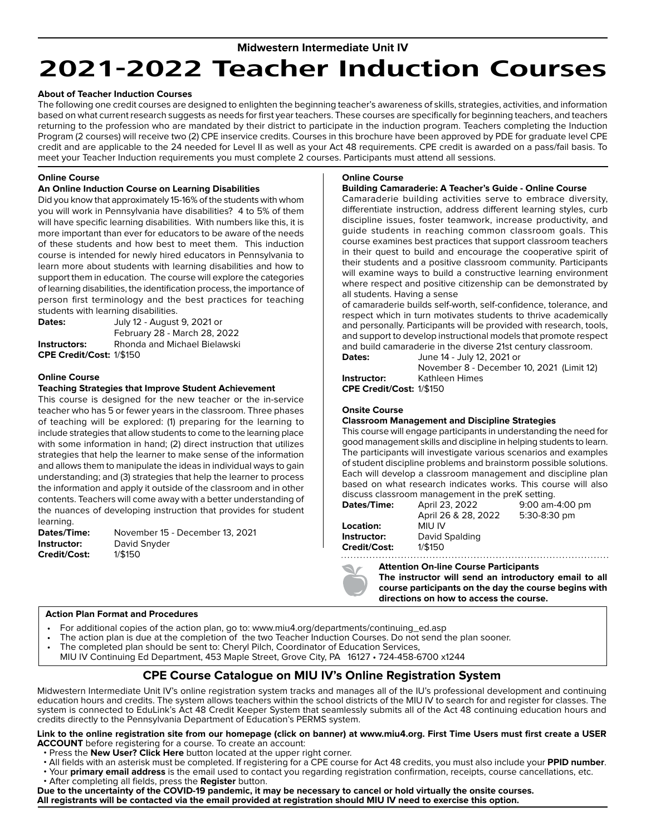### **Midwestern Intermediate Unit IV**

# **2021-2022 Teacher Induction Courses**

#### **About of Teacher Induction Courses**

The following one credit courses are designed to enlighten the beginning teacher's awareness of skills, strategies, activities, and information based on what current research suggests as needs for first year teachers. These courses are specifically for beginning teachers, and teachers returning to the profession who are mandated by their district to participate in the induction program. Teachers completing the Induction Program (2 courses) will receive two (2) CPE inservice credits. Courses in this brochure have been approved by PDE for graduate level CPE credit and are applicable to the 24 needed for Level II as well as your Act 48 requirements. CPE credit is awarded on a pass/fail basis. To meet your Teacher Induction requirements you must complete 2 courses. Participants must attend all sessions.

#### **Online Course**

#### **An Online Induction Course on Learning Disabilities**

Did you know that approximately 15-16% of the students with whom you will work in Pennsylvania have disabilities? 4 to 5% of them will have specific learning disabilities. With numbers like this, it is more important than ever for educators to be aware of the needs of these students and how best to meet them. This induction course is intended for newly hired educators in Pennsylvania to learn more about students with learning disabilities and how to support them in education. The course will explore the categories of learning disabilities, the identification process, the importance of person first terminology and the best practices for teaching students with learning disabilities.

**Dates:** July 12 - August 9, 2021 or February 28 - March 28, 2022 **Instructors:** Rhonda and Michael Bielawski **CPE Credit/Cost:** 1/\$150

#### **Online Course**

#### **Teaching Strategies that Improve Student Achievement**

This course is designed for the new teacher or the in-service teacher who has 5 or fewer years in the classroom. Three phases of teaching will be explored: (1) preparing for the learning to include strategies that allow students to come to the learning place with some information in hand; (2) direct instruction that utilizes strategies that help the learner to make sense of the information and allows them to manipulate the ideas in individual ways to gain understanding; and (3) strategies that help the learner to process the information and apply it outside of the classroom and in other contents. Teachers will come away with a better understanding of the nuances of developing instruction that provides for student learning.

**Credit/Cost:** 1/\$150

**Dates/Time:** November 15 - December 13, 2021 **Instructor:** David Snyder

#### **Online Course**

#### **Building Camaraderie: A Teacher's Guide - Online Course**

Camaraderie building activities serve to embrace diversity, differentiate instruction, address different learning styles, curb discipline issues, foster teamwork, increase productivity, and guide students in reaching common classroom goals. This course examines best practices that support classroom teachers in their quest to build and encourage the cooperative spirit of their students and a positive classroom community. Participants will examine ways to build a constructive learning environment where respect and positive citizenship can be demonstrated by all students. Having a sense

of camaraderie builds self-worth, self-confidence, tolerance, and respect which in turn motivates students to thrive academically and personally. Participants will be provided with research, tools, and support to develop instructional models that promote respect and build camaraderie in the diverse 21st century classroom.

**Dates:** June 14 - July 12, 2021 or November 8 - December 10, 2021 (Limit 12) **Instructor:** Kathleen Himes

**CPE Credit/Cost:** 1/\$150

#### **Onsite Course**

#### **Classroom Management and Discipline Strategies**

This course will engage participants in understanding the need for good management skills and discipline in helping students to learn. The participants will investigate various scenarios and examples of student discipline problems and brainstorm possible solutions. Each will develop a classroom management and discipline plan based on what research indicates works. This course will also discuss classroom management in the preK setting.

| Dates/Time:  | April 23, 2022      | 9:00 am-4:00 pm |
|--------------|---------------------|-----------------|
|              | April 26 & 28, 2022 | 5:30-8:30 pm    |
| Location:    | MIU IV              |                 |
| Instructor:  | David Spalding      |                 |
| Credit/Cost: | 1/\$150             |                 |

## **Attention On-line Course Participants**



**The instructor will send an introductory email to all course participants on the day the course begins with directions on how to access the course.** 

#### **Action Plan Format and Procedures**

- For additional copies of the action plan, go to: www.miu4.org/departments/continuing\_ed.asp
- The action plan is due at the completion of the two Teacher Induction Courses. Do not send the plan sooner.
- The completed plan should be sent to: Cheryl Pilch, Coordinator of Education Services,
- MIU IV Continuing Ed Department, 453 Maple Street, Grove City, PA 16127 724-458-6700 x1244

## **CPE Course Catalogue on MIU IV's Online Registration System**

Midwestern Intermediate Unit IV's online registration system tracks and manages all of the IU's professional development and continuing education hours and credits. The system allows teachers within the school districts of the MIU IV to search for and register for classes. The system is connected to EduLink's Act 48 Credit Keeper System that seamlessly submits all of the Act 48 continuing education hours and credits directly to the Pennsylvania Department of Education's PERMS system.

#### **Link to the online registration site from our homepage (click on banner) at www.miu4.org. First Time Users must first create a USER ACCOUNT** before registering for a course. To create an account:

- 
- Press the **New User? Click Here** button located at the upper right corner.<br>• All fields with an asterisk must be completed. If registering for a CPE course for Act 48 credits, you must also include your **PPID number**. · Your primary email address is the email used to contact you regarding registration confirmation, receipts, course cancellations, etc.
- After completing all fields, press the **Register** button.

**Due to the uncertainty of the COVID-19 pandemic, it may be necessary to cancel or hold virtually the onsite courses. All registrants will be contacted via the email provided at registration should MIU IV need to exercise this option.**